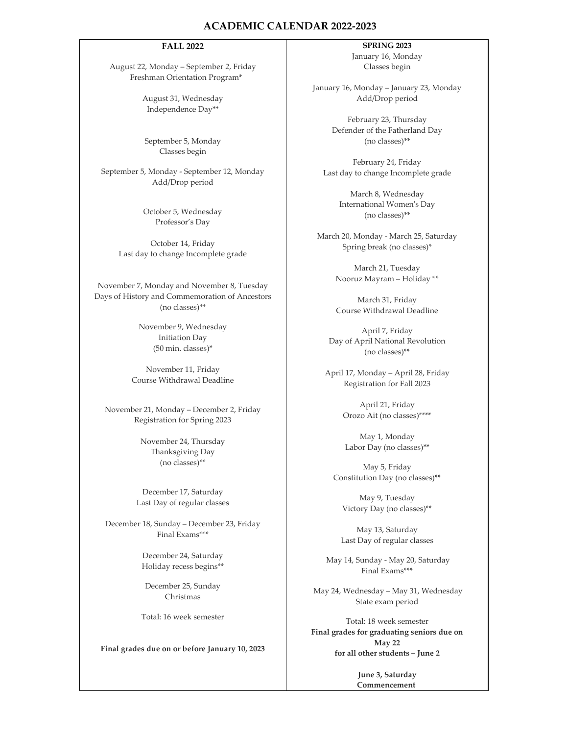## **ACADEMIC CALENDAR 2022‐2023**

## **FALL 2022**

August 22, Monday – September 2, Friday Freshman Orientation Program\*

> August 31, Wednesday Independence Day\*\*

September 5, Monday Classes begin

September 5, Monday ‐ September 12, Monday Add/Drop period

> October 5, Wednesday Professor's Day

October 14, Friday Last day to change Incomplete grade

November 7, Monday and November 8, Tuesday Days of History and Commemoration of Ancestors (no classes)\*\*

> November 9, Wednesday Initiation Day (50 min. classes)\*

November 11, Friday Course Withdrawal Deadline

November 21, Monday – December 2, Friday Registration for Spring 2023

> November 24, Thursday Thanksgiving Day (no classes)\*\*

December 17, Saturday Last Day of regular classes

December 18, Sunday – December 23, Friday Final Exams\*\*\*

> December 24, Saturday Holiday recess begins\*\*

December 25, Sunday Christmas

Total: 16 week semester

**Final grades due on or before January 10, 2023**

## **SPRING 2023**

January 16, Monday Classes begin

January 16, Monday – January 23, Monday Add/Drop period

> February 23, Thursday Defender of the Fatherland Day (no classes)\*\*

February 24, Friday Last day to change Incomplete grade

> March 8, Wednesday International Womenʹs Day (no classes)\*\*

March 20, Monday ‐ March 25, Saturday Spring break (no classes)\*

> March 21, Tuesday Nooruz Mayram – Holiday \*\*

March 31, Friday Course Withdrawal Deadline

April 7, Friday Day of April National Revolution (no classes)\*\*

April 17, Monday – April 28, Friday Registration for Fall 2023

> April 21, Friday Orozo Ait (no classes)\*\*\*\*

May 1, Monday Labor Day (no classes)\*\*

May 5, Friday Constitution Day (no classes)\*\*

May 9, Tuesday Victory Day (no classes)\*\*

May 13, Saturday Last Day of regular classes

May 14, Sunday ‐ May 20, Saturday Final Exams\*\*\*

May 24, Wednesday – May 31, Wednesday State exam period

Total: 18 week semester **Final grades for graduating seniors due on May 22 for all other students – June 2**

> **June 3, Saturday Commencement**